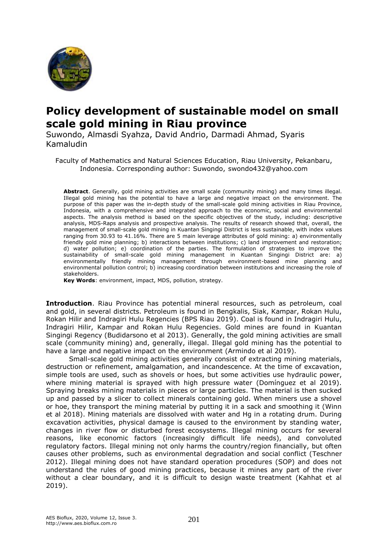

# **Policy development of sustainable model on small scale gold mining in Riau province**

Suwondo, Almasdi Syahza, David Andrio, Darmadi Ahmad, Syaris Kamaludin

Faculty of Mathematics and Natural Sciences Education, Riau University, Pekanbaru, Indonesia. Corresponding author: Suwondo, swondo432@yahoo.com

**Abstract**. Generally, gold mining activities are small scale (community mining) and many times illegal. Illegal gold mining has the potential to have a large and negative impact on the environment. The purpose of this paper was the in-depth study of the small-scale gold mining activities in Riau Province, Indonesia, with a comprehensive and integrated approach to the economic, social and environmental aspects. The analysis method is based on the specific objectives of the study, including: descriptive analysis, MDS-Raps analysis and prospective analysis. The results of research showed that, overall, the management of small-scale gold mining in Kuantan Singingi District is less sustainable, with index values ranging from 30.93 to 41.16%. There are 5 main leverage attributes of gold mining: a) environmentally friendly gold mine planning; b) interactions between institutions; c) land improvement and restoration; d) water pollution; e) coordination of the parties. The formulation of strategies to improve the sustainability of small-scale gold mining management in Kuantan Singingi District are: a) environmentally friendly mining management through environment-based mine planning and environmental pollution control; b) increasing coordination between institutions and increasing the role of stakeholders.

**Key Words**: environment, impact, MDS, pollution, strategy.

**Introduction**. Riau Province has potential mineral resources, such as petroleum, coal and gold, in several districts. Petroleum is found in Bengkalis, Siak, Kampar, Rokan Hulu, Rokan Hilir and Indragiri Hulu Regencies (BPS Riau 2019). Coal is found in Indragiri Hulu, Indragiri Hilir, Kampar and Rokan Hulu Regencies. Gold mines are found in Kuantan Singingi Regency (Budidarsono et al 2013). Generally, the gold mining activities are small scale (community mining) and, generally, illegal. Illegal gold mining has the potential to have a large and negative impact on the environment (Armindo et al 2019).

Small-scale gold mining activities generally consist of extracting mining materials, destruction or refinement, amalgamation, and incandescence. At the time of excavation, simple tools are used, such as shovels or hoes, but some activities use hydraulic power, where mining material is sprayed with high pressure water (Domínguez et al 2019). Spraying breaks mining materials in pieces or large particles. The material is then sucked up and passed by a slicer to collect minerals containing gold. When miners use a shovel or hoe, they transport the mining material by putting it in a sack and smoothing it (Winn et al 2018). Mining materials are dissolved with water and Hg in a rotating drum. During excavation activities, physical damage is caused to the environment by standing water, changes in river flow or disturbed forest ecosystems. Illegal mining occurs for several reasons, like economic factors (increasingly difficult life needs), and convoluted regulatory factors. Illegal mining not only harms the country/region financially, but often causes other problems, such as environmental degradation and social conflict (Teschner 2012). Illegal mining does not have standard operation procedures (SOP) and does not understand the rules of good mining practices, because it mines any part of the river without a clear boundary, and it is difficult to design waste treatment (Kahhat et al 2019).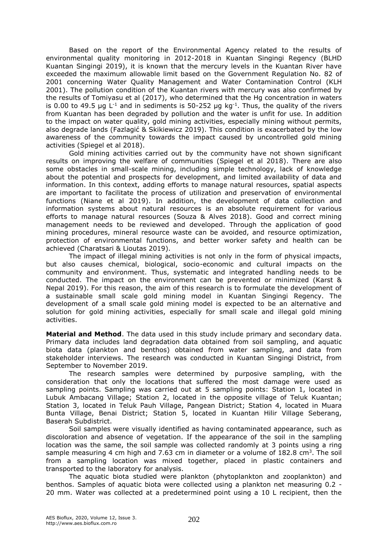Based on the report of the Environmental Agency related to the results of environmental quality monitoring in 2012-2018 in Kuantan Singingi Regency (BLHD Kuantan Singingi 2019), it is known that the mercury levels in the Kuantan River have exceeded the maximum allowable limit based on the Government Regulation No. 82 of 2001 concerning Water Quality Management and Water Contamination Control (KLH 2001). The pollution condition of the Kuantan rivers with mercury was also confirmed by the results of Tomiyasu et al (2017), who determined that the Hg concentration in waters is 0.00 to 49.5 µg L<sup>-1</sup> and in sediments is 50-252 µg kg<sup>-1</sup>. Thus, the quality of the rivers from Kuantan has been degraded by pollution and the water is unfit for use. In addition to the impact on water quality, gold mining activities, especially mining without permits, also degrade lands (Fazlagić & Skikiewicz 2019). This condition is exacerbated by the low awareness of the community towards the impact caused by uncontrolled gold mining activities (Spiegel et al 2018).

Gold mining activities carried out by the community have not shown significant results on improving the welfare of communities (Spiegel et al 2018). There are also some obstacles in small-scale mining, including simple technology, lack of knowledge about the potential and prospects for development, and limited availability of data and information. In this context, adding efforts to manage natural resources, spatial aspects are important to facilitate the process of utilization and preservation of environmental functions (Niane et al 2019). In addition, the development of data collection and information systems about natural resources is an absolute requirement for various efforts to manage natural resources (Souza & Alves 2018). Good and correct mining management needs to be reviewed and developed. Through the application of good mining procedures, mineral resource waste can be avoided, and resource optimization, protection of environmental functions, and better worker safety and health can be achieved (Charatsari & Lioutas 2019).

The impact of illegal mining activities is not only in the form of physical impacts, but also causes chemical, biological, socio-economic and cultural impacts on the community and environment. Thus, systematic and integrated handling needs to be conducted. The impact on the environment can be prevented or minimized (Karst & Nepal 2019). For this reason, the aim of this research is to formulate the development of a sustainable small scale gold mining model in Kuantan Singingi Regency. The development of a small scale gold mining model is expected to be an alternative and solution for gold mining activities, especially for small scale and illegal gold mining activities.

**Material and Method**. The data used in this study include primary and secondary data. Primary data includes land degradation data obtained from soil sampling, and aquatic biota data (plankton and benthos) obtained from water sampling, and data from stakeholder interviews. The research was conducted in Kuantan Singingi District, from September to November 2019.

The research samples were determined by purposive sampling, with the consideration that only the locations that suffered the most damage were used as sampling points. Sampling was carried out at 5 sampling points: Station 1, located in Lubuk Ambacang Village; Station 2, located in the opposite village of Teluk Kuantan; Station 3, located in Teluk Pauh Village, Pangean District; Station 4, located in Muara Bunta Village, Benai District; Station 5, located in Kuantan Hilir Village Seberang, Baserah Subdistrict.

Soil samples were visually identified as having contaminated appearance, such as discoloration and absence of vegetation. If the appearance of the soil in the sampling location was the same, the soil sample was collected randomly at 3 points using a ring sample measuring 4 cm high and 7.63 cm in diameter or a volume of  $182.8$  cm<sup>3</sup>. The soil from a sampling location was mixed together, placed in plastic containers and transported to the laboratory for analysis.

The aquatic biota studied were plankton (phytoplankton and zooplankton) and benthos. Samples of aquatic biota were collected using a plankton net measuring 0.2 - 20 mm. Water was collected at a predetermined point using a 10 L recipient, then the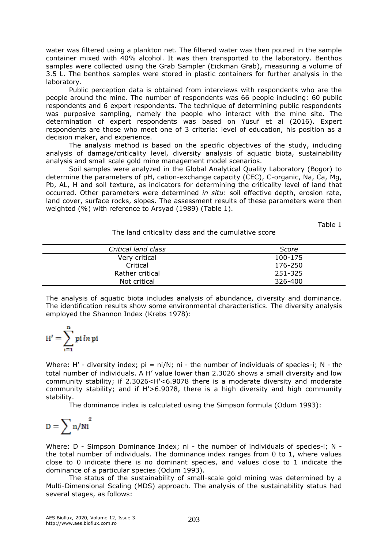water was filtered using a plankton net. The filtered water was then poured in the sample container mixed with 40% alcohol. It was then transported to the laboratory. Benthos samples were collected using the Grab Sampler (Eickman Grab), measuring a volume of 3.5 L. The benthos samples were stored in plastic containers for further analysis in the laboratory.

Public perception data is obtained from interviews with respondents who are the people around the mine. The number of respondents was 66 people including: 60 public respondents and 6 expert respondents. The technique of determining public respondents was purposive sampling, namely the people who interact with the mine site. The determination of expert respondents was based on Yusuf et al (2016). Expert respondents are those who meet one of 3 criteria: level of education, his position as a decision maker, and experience.

The analysis method is based on the specific objectives of the study, including analysis of damage/criticality level, diversity analysis of aquatic biota, sustainability analysis and small scale gold mine management model scenarios.

Soil samples were analyzed in the Global Analytical Quality Laboratory (Bogor) to determine the parameters of pH, cation-exchange capacity (CEC), C-organic, Na, Ca, Mg, Pb, AL, H and soil texture, as indicators for determining the criticality level of land that occurred. Other parameters were determined *in situ*: soil effective depth, erosion rate, land cover, surface rocks, slopes. The assessment results of these parameters were then weighted (%) with reference to Arsyad (1989) (Table 1).

Table 1

The land criticality class and the cumulative score

| Critical land class | Score   |
|---------------------|---------|
| Very critical       | 100-175 |
| Critical            | 176-250 |
| Rather critical     | 251-325 |
| Not critical        | 326-400 |

The analysis of aquatic biota includes analysis of abundance, diversity and dominance. The identification results show some environmental characteristics. The diversity analysis employed the Shannon Index (Krebs 1978):

$$
H' = \sum_{i=1}^{n} pi \ln pi
$$

Where: H' - diversity index;  $pi = ni/N$ ; ni - the number of individuals of species-i; N - the total number of individuals. A H' value lower than 2.3026 shows a small diversity and low community stability; if 2.3026<H'<6.9078 there is a moderate diversity and moderate community stability; and if H'>6.9078, there is a high diversity and high community stability.

The dominance index is calculated using the Simpson formula (Odum 1993):

$$
D=\sum n/Ni^2\,
$$

Where: D - Simpson Dominance Index; ni - the number of individuals of species-i; N the total number of individuals. The dominance index ranges from 0 to 1, where values close to 0 indicate there is no dominant species, and values close to 1 indicate the dominance of a particular species (Odum 1993).

The status of the sustainability of small-scale gold mining was determined by a Multi-Dimensional Scaling (MDS) approach. The analysis of the sustainability status had several stages, as follows: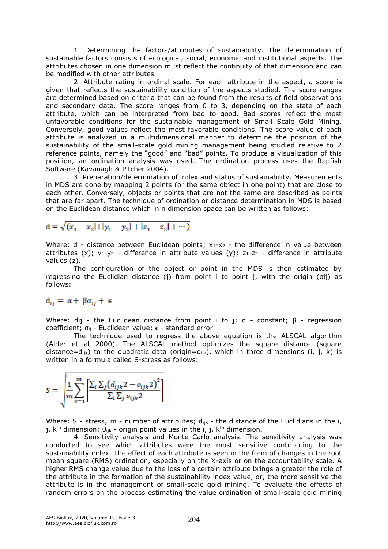1. Determining the factors/attributes of sustainability. The determination of sustainable factors consists of ecological, social, economic and institutional aspects. The attributes chosen in one dimension must reflect the continuity of that dimension and can be modified with other attributes.

2. Attribute rating in ordinal scale. For each attribute in the aspect, a score is given that reflects the sustainability condition of the aspects studied. The score ranges are determined based on criteria that can be found from the results of field observations and secondary data. The score ranges from 0 to 3, depending on the state of each attribute, which can be interpreted from bad to good. Bad scores reflect the most unfavorable conditions for the sustainable management of Small Scale Gold Mining. Conversely, good values reflect the most favorable conditions. The score value of each attribute is analyzed in a multidimensional manner to determine the position of the sustainability of the small-scale gold mining management being studied relative to 2 reference points, namely the "good" and "bad" points. To produce a visualization of this position, an ordination analysis was used. The ordination process uses the Rapfish Software (Kavanagh & Pitcher 2004).

3. Preparation/determination of index and status of sustainability. Measurements in MDS are done by mapping 2 points (or the same object in one point) that are close to each other. Conversely, objects or points that are not the same are described as points that are far apart. The technique of ordination or distance determination in MDS is based on the Euclidean distance which in n dimension space can be written as follows:

$$
d = \sqrt{(x_1 - x_2| + |y_1 - y_2| + |z_1 - z_2| + \cdots)}
$$

Where:  $d -$  distance between Euclidean points;  $x_1-x_2 -$  the difference in value between attributes  $(x)$ ;  $y_1-y_2$  - difference in attribute values  $(y)$ ;  $z_1-z_2$  - difference in attribute values (z).

The configuration of the object or point in the MDS is then estimated by regressing the Euclidian distance (j) from point i to point j, with the origin (σij) as follows:

$$
d_{ij} = \alpha + \beta \sigma_{ij} + \epsilon
$$

Where: dij - the Euclidean distance from point i to j; α - constant; β - regression coefficient;  $σ_{ii}$  - Euclidean value;  $ε$  - standard error.

The technique used to regress the above equation is the ALSCAL algorithm (Alder et al 2000). The ALSCAL method optimizes the square distance (square distance=d<sub>ijk</sub>) to the quadratic data (origin=o<sub>ijk</sub>), which in three dimensions (i, j, k) is written in a formula called S-stress as follows:

$$
S = \sqrt{\frac{1}{m} \sum_{k=1}^{m} \left[ \frac{\sum_{i} \sum_{j} (d_{ijk} 2 - o_{ijk} 2)^2}{\sum_{i} \sum_{j} o_{ijk} 2} \right]}
$$

Where: S - stress; m - number of attributes;  $d_{ijk}$  - the distance of the Euclidians in the i, j,  $k<sup>th</sup>$  dimension;  $O_{ijk}$  - origin point values in the i, j,  $k<sup>th</sup>$  dimension.

4. Sensitivity analysis and Monte Carlo analysis. The sensitivity analysis was conducted to see which attributes were the most sensitive contributing to the sustainability index. The effect of each attribute is seen in the form of changes in the root mean square (RMS) ordination, especially on the X-axis or on the accountability scale. A higher RMS change value due to the loss of a certain attribute brings a greater the role of the attribute in the formation of the sustainability index value, or, the more sensitive the attribute is in the management of small-scale gold mining. To evaluate the effects of random errors on the process estimating the value ordination of small-scale gold mining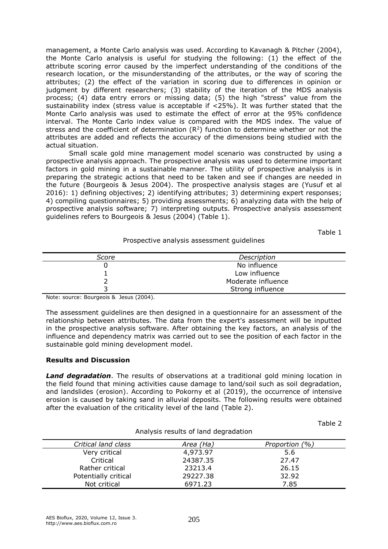management, a Monte Carlo analysis was used. According to Kavanagh & Pitcher (2004), the Monte Carlo analysis is useful for studying the following: (1) the effect of the attribute scoring error caused by the imperfect understanding of the conditions of the research location, or the misunderstanding of the attributes, or the way of scoring the attributes; (2) the effect of the variation in scoring due to differences in opinion or judgment by different researchers; (3) stability of the iteration of the MDS analysis process; (4) data entry errors or missing data; (5) the high "stress" value from the sustainability index (stress value is acceptable if  $\langle 25\%$ ). It was further stated that the Monte Carlo analysis was used to estimate the effect of error at the 95% confidence interval. The Monte Carlo index value is compared with the MDS index. The value of stress and the coefficient of determination  $(R^2)$  function to determine whether or not the attributes are added and reflects the accuracy of the dimensions being studied with the actual situation.

Small scale gold mine management model scenario was constructed by using a prospective analysis approach. The prospective analysis was used to determine important factors in gold mining in a sustainable manner. The utility of prospective analysis is in preparing the strategic actions that need to be taken and see if changes are needed in the future (Bourgeois & Jesus 2004). The prospective analysis stages are (Yusuf et al 2016): 1) defining objectives; 2) identifying attributes; 3) determining expert responses; 4) compiling questionnaires; 5) providing assessments; 6) analyzing data with the help of prospective analysis software; 7) interpreting outputs. Prospective analysis assessment guidelines refers to Bourgeois & Jesus (2004) (Table 1).

Table 1

#### Prospective analysis assessment guidelines

| Score | Description        |  |
|-------|--------------------|--|
|       | No influence       |  |
|       | Low influence      |  |
|       | Moderate influence |  |
|       | Strong influence   |  |

Note: source: Bourgeois & Jesus (2004).

The assessment guidelines are then designed in a questionnaire for an assessment of the relationship between attributes. The data from the expert's assessment will be inputted in the prospective analysis software. After obtaining the key factors, an analysis of the influence and dependency matrix was carried out to see the position of each factor in the sustainable gold mining development model.

## **Results and Discussion**

*Land degradation*. The results of observations at a traditional gold mining location in the field found that mining activities cause damage to land/soil such as soil degradation, and landslides (erosion). According to Pokorny et al (2019), the occurrence of intensive erosion is caused by taking sand in alluvial deposits. The following results were obtained after the evaluation of the criticality level of the land (Table 2).

| Analysis results of land degradation |           |                |  |
|--------------------------------------|-----------|----------------|--|
| Critical land class                  | Area (Ha) | Proportion (%) |  |
| Very critical                        | 4,973.97  | 5.6            |  |
| Critical                             | 24387.35  | 27.47          |  |
| Rather critical                      | 23213.4   | 26.15          |  |
| Potentially critical                 | 29227.38  | 32.92          |  |
| Not critical                         | 6971.23   | 7.85           |  |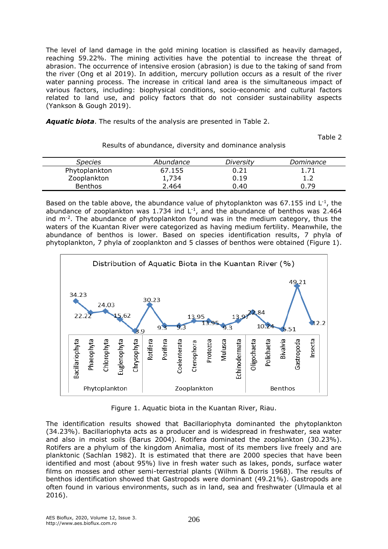The level of land damage in the gold mining location is classified as heavily damaged, reaching 59.22%. The mining activities have the potential to increase the threat of abrasion. The occurrence of intensive erosion (abrasion) is due to the taking of sand from the river (Ong et al 2019). In addition, mercury pollution occurs as a result of the river water panning process. The increase in critical land area is the simultaneous impact of various factors, including: biophysical conditions, socio-economic and cultural factors related to land use, and policy factors that do not consider sustainability aspects (Yankson & Gough 2019).

*Aquatic biota*. The results of the analysis are presented in Table 2.

Table 2

| Abundance | Diversity | Dominance |
|-----------|-----------|-----------|
| 67.155    | 0.21      |           |
| 1,734     | 0.19      | ∸∙        |
| 2.464     | 0.40      | 0.79      |
|           |           |           |

Results of abundance, diversity and dominance analysis

Based on the table above, the abundance value of phytoplankton was 67.155 ind  $L^{-1}$ , the abundance of zooplankton was 1.734 ind  $L^{-1}$ , and the abundance of benthos was 2.464 ind m<sup>-2</sup>. The abundance of phytoplankton found was in the medium category, thus the waters of the Kuantan River were categorized as having medium fertility. Meanwhile, the abundance of benthos is lower. Based on species identification results, 7 phyla of phytoplankton, 7 phyla of zooplankton and 5 classes of benthos were obtained (Figure 1).



Figure 1. Aquatic biota in the Kuantan River, Riau.

The identification results showed that Bacillariophyta dominanted the phytoplankton (34.23%). Bacillariophyta acts as a producer and is widespread in freshwater, sea water and also in moist soils (Barus 2004). Rotifera dominated the zooplankton (30.23%). Rotifers are a phylum of the kingdom Animalia, most of its members live freely and are planktonic (Sachlan 1982). It is estimated that there are 2000 species that have been identified and most (about 95%) live in fresh water such as lakes, ponds, surface water films on mosses and other semi-terrestrial plants (Wilhm & Dorris 1968). The results of benthos identification showed that Gastropods were dominant (49.21%). Gastropods are often found in various environments, such as in land, sea and freshwater (Ulmaula et al 2016).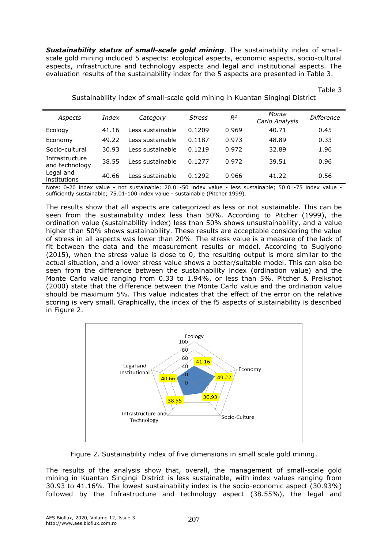**Sustainability status of small-scale gold mining**. The sustainability index of smallscale gold mining included 5 aspects: ecological aspects, economic aspects, socio-cultural aspects, infrastructure and technology aspects and legal and institutional aspects. The evaluation results of the sustainability index for the 5 aspects are presented in Table 3.

| Aspects                          | Index | Category         | <b>Stress</b> | $R^2$ | Monte<br>Carlo Analysis | Difference |
|----------------------------------|-------|------------------|---------------|-------|-------------------------|------------|
| Ecology                          | 41.16 | Less sustainable | 0.1209        | 0.969 | 40.71                   | 0.45       |
| Economy                          | 49.22 | Less sustainable | 0.1187        | 0.973 | 48.89                   | 0.33       |
| Socio-cultural                   | 30.93 | Less sustainable | 0.1219        | 0.972 | 32.89                   | 1.96       |
| Infrastructure<br>and technology | 38.55 | Less sustainable | 0.1277        | 0.972 | 39.51                   | 0.96       |
| Legal and<br>institutions        | 40.66 | Less sustainable | 0.1292        | 0.966 | 41.22                   | 0.56       |

Sustainability index of small-scale gold mining in Kuantan Singingi District

Table 3

Note: 0-20 index value - not sustainable; 20.01-50 index value - less sustainable; 50.01-75 index value sufficiently sustainable; 75.01-100 index value - sustainable (Pitcher 1999).

The results show that all aspects are categorized as less or not sustainable. This can be seen from the sustainability index less than 50%. According to Pitcher (1999), the ordination value (sustainability index) less than 50% shows unsustainability, and a value higher than 50% shows sustainability. These results are acceptable considering the value of stress in all aspects was lower than 20%. The stress value is a measure of the lack of fit between the data and the measurement results or model. According to Sugiyono (2015), when the stress value is close to 0, the resulting output is more similar to the actual situation, and a lower stress value shows a better/suitable model. This can also be seen from the difference between the sustainability index (ordination value) and the Monte Carlo value ranging from 0.33 to 1.94%, or less than 5%. Pitcher & Preikshot (2000) state that the difference between the Monte Carlo value and the ordination value should be maximum 5%. This value indicates that the effect of the error on the relative scoring is very small. Graphically, the index of the f5 aspects of sustainability is described in Figure 2.



Figure 2. Sustainability index of five dimensions in small scale gold mining.

The results of the analysis show that, overall, the management of small-scale gold mining in Kuantan Singingi District is less sustainable, with index values ranging from 30.93 to 41.16%. The lowest sustainability index is the socio-economic aspect (30.93%) followed by the Infrastructure and technology aspect (38.55%), the legal and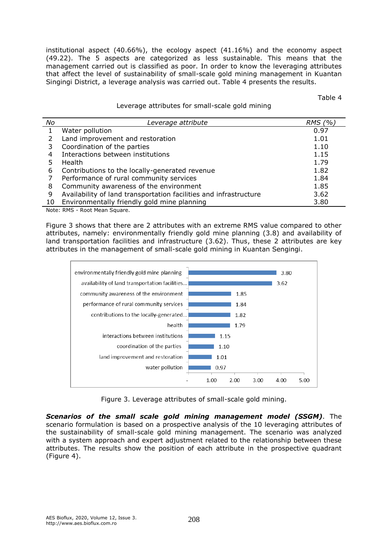institutional aspect (40.66%), the ecology aspect (41.16%) and the economy aspect (49.22). The 5 aspects are categorized as less sustainable. This means that the management carried out is classified as poor. In order to know the leveraging attributes that affect the level of sustainability of small-scale gold mining management in Kuantan Singingi District, a leverage analysis was carried out. Table 4 presents the results.

Table 4

#### Leverage attributes for small-scale gold mining

| No | Leverage attribute                                                | RMS (%) |
|----|-------------------------------------------------------------------|---------|
|    | Water pollution                                                   | 0.97    |
|    | Land improvement and restoration                                  | 1.01    |
|    | Coordination of the parties                                       | 1.10    |
|    | Interactions between institutions                                 | 1.15    |
|    | <b>Health</b>                                                     | 1.79    |
| 6  | Contributions to the locally-generated revenue                    | 1.82    |
|    | Performance of rural community services                           | 1.84    |
| 8  | Community awareness of the environment                            | 1.85    |
| 9  | Availability of land transportation facilities and infrastructure | 3.62    |
| 10 | Environmentally friendly gold mine planning                       | 3.80    |

Note: RMS - Root Mean Square.

Figure 3 shows that there are 2 attributes with an extreme RMS value compared to other attributes, namely: environmentally friendly gold mine planning (3.8) and availability of land transportation facilities and infrastructure (3.62). Thus, these 2 attributes are key attributes in the management of small-scale gold mining in Kuantan Sengingi.



Figure 3. Leverage attributes of small-scale gold mining.

*Scenarios of the small scale gold mining management model (SSGM)*. The scenario formulation is based on a prospective analysis of the 10 leveraging attributes of the sustainability of small-scale gold mining management. The scenario was analyzed with a system approach and expert adjustment related to the relationship between these attributes. The results show the position of each attribute in the prospective quadrant (Figure 4).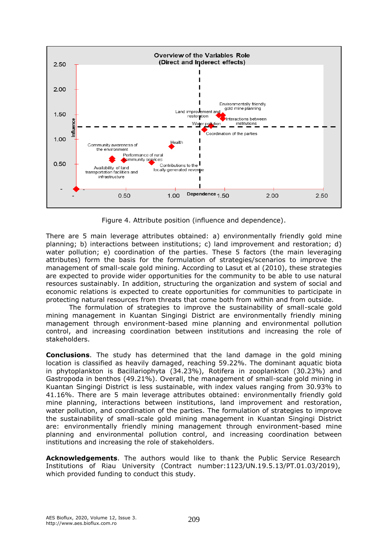

Figure 4. Attribute position (influence and dependence).

There are 5 main leverage attributes obtained: a) environmentally friendly gold mine planning; b) interactions between institutions; c) land improvement and restoration; d) water pollution; e) coordination of the parties. These 5 factors (the main leveraging attributes) form the basis for the formulation of strategies/scenarios to improve the management of small-scale gold mining. According to Lasut et al (2010), these strategies are expected to provide wider opportunities for the community to be able to use natural resources sustainably. In addition, structuring the organization and system of social and economic relations is expected to create opportunities for communities to participate in protecting natural resources from threats that come both from within and from outside.

The formulation of strategies to improve the sustainability of small-scale gold mining management in Kuantan Singingi District are environmentally friendly mining management through environment-based mine planning and environmental pollution control, and increasing coordination between institutions and increasing the role of stakeholders.

**Conclusions**. The study has determined that the land damage in the gold mining location is classified as heavily damaged, reaching 59.22%. The dominant aquatic biota in phytoplankton is Bacillariophyta (34.23%), Rotifera in zooplankton (30.23%) and Gastropoda in benthos (49.21%). Overall, the management of small-scale gold mining in Kuantan Singingi District is less sustainable, with index values ranging from 30.93% to 41.16%. There are 5 main leverage attributes obtained: environmentally friendly gold mine planning, interactions between institutions, land improvement and restoration, water pollution, and coordination of the parties. The formulation of strategies to improve the sustainability of small-scale gold mining management in Kuantan Singingi District are: environmentally friendly mining management through environment-based mine planning and environmental pollution control, and increasing coordination between institutions and increasing the role of stakeholders.

**Acknowledgements**. The authors would like to thank the Public Service Research Institutions of Riau University (Contract number:1123/UN.19.5.13/PT.01.03/2019), which provided funding to conduct this study.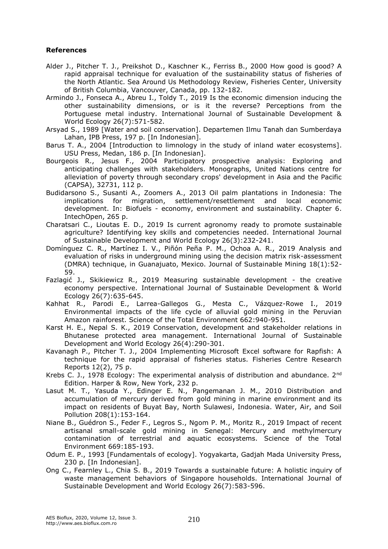### **References**

- Alder J., Pitcher T. J., Preikshot D., Kaschner K., Ferriss B., 2000 How good is good? A rapid appraisal technique for evaluation of the sustainability status of fisheries of the North Atlantic. Sea Around Us Methodology Review, Fisheries Center, University of British Columbia, Vancouver, Canada, pp. 132-182.
- Armindo J., Fonseca A., Abreu I., Toldy T., 2019 Is the economic dimension inducing the other sustainability dimensions, or is it the reverse? Perceptions from the Portuguese metal industry. International Journal of Sustainable Development & World Ecology 26(7):571-582.
- Arsyad S., 1989 [Water and soil conservation]. Departemen Ilmu Tanah dan Sumberdaya Lahan, IPB Press, 197 p. [In Indonesian].
- Barus T. A., 2004 [Introduction to limnology in the study of inland water ecosystems]. USU Press, Medan, 186 p. [In Indonesian].
- Bourgeois R., Jesus F., 2004 Participatory prospective analysis: Exploring and anticipating challenges with stakeholders. Monographs, United Nations centre for alleviation of poverty through secondary crops' development in Asia and the Pacific (CAPSA), 32731, 112 p.
- Budidarsono S., Susanti A., Zoomers A., 2013 Oil palm plantations in Indonesia: The implications for migration, settlement/resettlement and local economic development. In: Biofuels - economy, environment and sustainability. Chapter 6. IntechOpen, 265 p.
- Charatsari C., Lioutas E. D., 2019 Is current agronomy ready to promote sustainable agriculture? Identifying key skills and competencies needed. International Journal of Sustainable Development and World Ecology 26(3):232-241.
- Domínguez C. R., Martínez I. V., Piñón Peña P. M., Ochoa A. R., 2019 Analysis and evaluation of risks in underground mining using the decision matrix risk-assessment (DMRA) technique, in Guanajuato, Mexico. Journal of Sustainable Mining 18(1):52- 59.
- Fazlagić J., Skikiewicz R., 2019 Measuring sustainable development the creative economy perspective. International Journal of Sustainable Development & World Ecology 26(7):635-645.
- Kahhat R., Parodi E., Larrea-Gallegos G., Mesta C., Vázquez-Rowe I., 2019 Environmental impacts of the life cycle of alluvial gold mining in the Peruvian Amazon rainforest. Science of the Total Environment 662:940-951.
- Karst H. E., Nepal S. K., 2019 Conservation, development and stakeholder relations in Bhutanese protected area management. International Journal of Sustainable Development and World Ecology 26(4):290-301.
- Kavanagh P., Pitcher T. J., 2004 Implementing Microsoft Excel software for Rapfish: A technique for the rapid appraisal of fisheries status. Fisheries Centre Research Reports 12(2), 75 p.
- Krebs C. J., 1978 Ecology: The experimental analysis of distribution and abundance. 2<sup>nd</sup> Edition. Harper & Row, New York, 232 p.
- Lasut M. T., Yasuda Y., Edinger E. N., Pangemanan J. M., 2010 Distribution and accumulation of mercury derived from gold mining in marine environment and its impact on residents of Buyat Bay, North Sulawesi, Indonesia. Water, Air, and Soil Pollution 208(1):153-164.
- Niane B., Guédron S., Feder F., Legros S., Ngom P. M., Moritz R., 2019 Impact of recent artisanal small-scale gold mining in Senegal: Mercury and methylmercury contamination of terrestrial and aquatic ecosystems. Science of the Total Environment 669:185-193.
- Odum E. P., 1993 [Fundamentals of ecology]. Yogyakarta, Gadjah Mada University Press, 230 p. [In Indonesian].
- Ong C., Fearnley L., Chia S. B., 2019 Towards a sustainable future: A holistic inquiry of waste management behaviors of Singapore households. International Journal of Sustainable Development and World Ecology 26(7):583-596.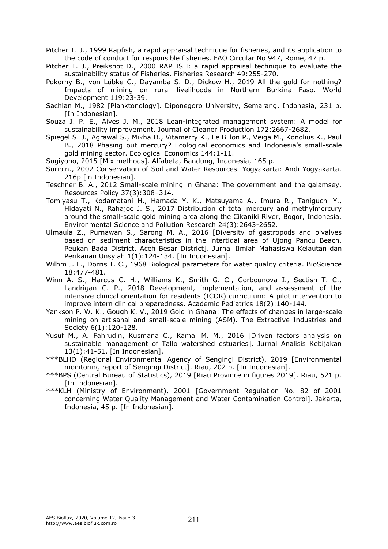Pitcher T. J., 1999 Rapfish, a rapid appraisal technique for fisheries, and its application to the code of conduct for responsible fisheries. FAO Circular No 947, Rome, 47 p.

Pitcher T. J., Preikshot D., 2000 RAPFISH: a rapid appraisal technique to evaluate the sustainability status of Fisheries. Fisheries Research 49:255-270.

Pokorny B., von Lübke C., Dayamba S. D., Dickow H., 2019 All the gold for nothing? Impacts of mining on rural livelihoods in Northern Burkina Faso. World Development 119:23-39.

Sachlan M., 1982 [Planktonology]. Diponegoro University, Semarang, Indonesia, 231 p. [In Indonesian].

Souza J. P. E., Alves J. M., 2018 Lean-integrated management system: A model for sustainability improvement. Journal of Cleaner Production 172:2667-2682.

Spiegel S. J., Agrawal S., Mikha D., Vitamerry K., Le Billon P., Veiga M., Konolius K., Paul B., 2018 Phasing out mercury? Ecological economics and Indonesia's small-scale gold mining sector. Ecological Economics 144:1-11.

Sugiyono, 2015 [Mix methods]. Alfabeta, Bandung, Indonesia, 165 p.

Suripin., 2002 Conservation of Soil and Water Resources. Yogyakarta: Andi Yogyakarta. 216p [in Indonesian].

- Teschner B. A., 2012 Small-scale mining in Ghana: The government and the galamsey. Resources Policy 37(3):308–314.
- Tomiyasu T., Kodamatani H., Hamada Y. K., Matsuyama A., Imura R., Taniguchi Y., Hidayati N., Rahajoe J. S., 2017 Distribution of total mercury and methylmercury around the small-scale gold mining area along the Cikaniki River, Bogor, Indonesia. Environmental Science and Pollution Research 24(3):2643-2652.
- Ulmaula Z., Purnawan S., Sarong M. A., 2016 [Diversity of gastropods and bivalves based on sediment characteristics in the intertidal area of Ujong Pancu Beach, Peukan Bada District, Aceh Besar District]. Jurnal Ilmiah Mahasiswa Kelautan dan Perikanan Unsyiah 1(1):124-134. [In Indonesian].
- Wilhm J. L., Dorris T. C., 1968 Biological parameters for water quality criteria. BioScience 18:477-481.
- Winn A. S., Marcus C. H., Williams K., Smith G. C., Gorbounova I., Sectish T. C., Landrigan C. P., 2018 Development, implementation, and assessment of the intensive clinical orientation for residents (ICOR) curriculum: A pilot intervention to improve intern clinical preparedness. Academic Pediatrics 18(2):140-144.
- Yankson P. W. K., Gough K. V., 2019 Gold in Ghana: The effects of changes in large-scale mining on artisanal and small-scale mining (ASM). The Extractive Industries and Society 6(1):120-128.
- Yusuf M., A. Fahrudin, Kusmana C., Kamal M. M., 2016 [Driven factors analysis on sustainable management of Tallo watershed estuaries]. Jurnal Analisis Kebijakan 13(1):41-51. [In Indonesian].
- \*\*\*BLHD (Regional Environmental Agency of Sengingi District), 2019 [Environmental monitoring report of Sengingi District]. Riau, 202 p. [In Indonesian].
- \*\*\*BPS (Central Bureau of Statistics), 2019 [Riau Province in figures 2019]. Riau, 521 p. [In Indonesian].
- \*\*\*KLH (Ministry of Environment), 2001 [Government Regulation No. 82 of 2001 concerning Water Quality Management and Water Contamination Control]. Jakarta, Indonesia, 45 p. [In Indonesian].